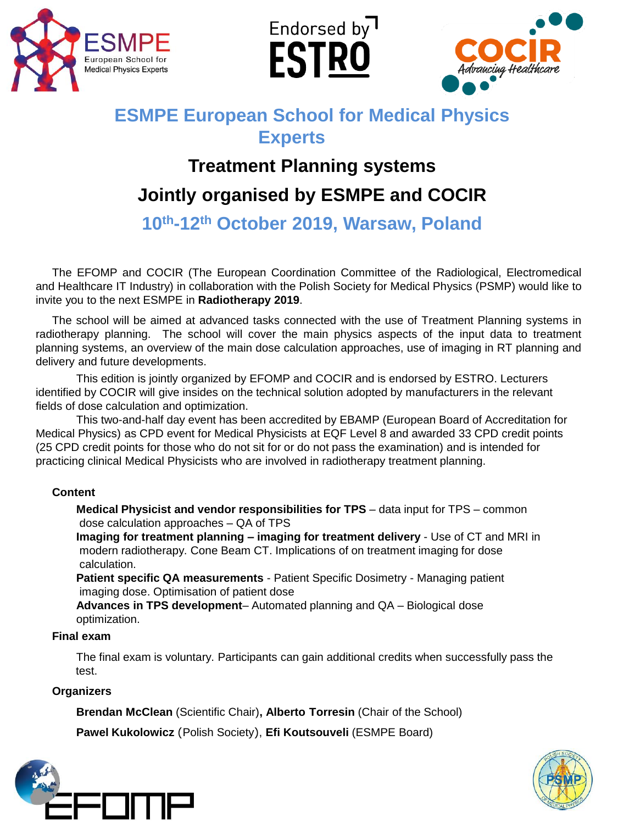

Endorsed by **ESTRO** 



## **ESMPE European School for Medical Physics Experts**

# **Treatment Planning systems Jointly organised by ESMPE and COCIR**

**10th-12th October 2019, Warsaw, Poland**

The EFOMP and COCIR (The European Coordination Committee of the Radiological, Electromedical and Healthcare IT Industry) in collaboration with the Polish Society for Medical Physics (PSMP) would like to invite you to the next ESMPE in **Radiotherapy 2019**.

The school will be aimed at advanced tasks connected with the use of Treatment Planning systems in radiotherapy planning. The school will cover the main physics aspects of the input data to treatment planning systems, an overview of the main dose calculation approaches, use of imaging in RT planning and delivery and future developments.

This edition is jointly organized by EFOMP and COCIR and is endorsed by ESTRO. Lecturers identified by COCIR will give insides on the technical solution adopted by manufacturers in the relevant fields of dose calculation and optimization.

This two-and-half day event has been accredited by EBAMP (European Board of Accreditation for Medical Physics) as CPD event for Medical Physicists at EQF Level 8 and awarded 33 CPD credit points (25 CPD credit points for those who do not sit for or do not pass the examination) and is intended for practicing clinical Medical Physicists who are involved in radiotherapy treatment planning.

#### **Content**

**Medical Physicist and vendor responsibilities for TPS** – data input for TPS – common dose calculation approaches – QA of TPS

**Imaging for treatment planning – imaging for treatment delivery** - Use of CT and MRI in modern radiotherapy. Cone Beam CT. Implications of on treatment imaging for dose calculation.

**Patient specific QA measurements** - Patient Specific Dosimetry - Managing patient imaging dose. Optimisation of patient dose

**Advances in TPS development**– Automated planning and QA – Biological dose optimization.

#### **Final exam**

The final exam is voluntary. Participants can gain additional credits when successfully pass the test.

#### **Organizers**

**Brendan McClean** (Scientific Chair)**, Alberto Torresin** (Chair of the School)

**Pawel Kukolowicz** (Polish Society), **Efi Koutsouveli** (ESMPE Board)



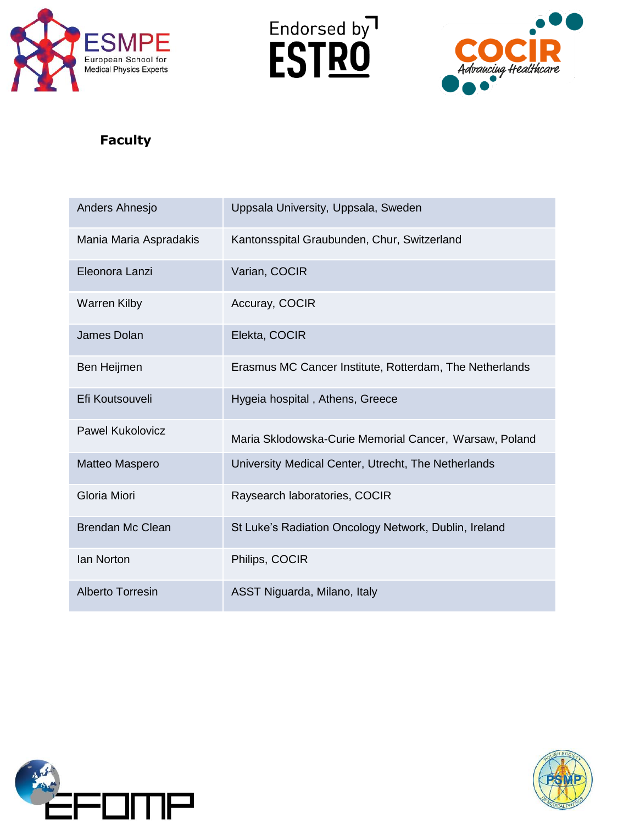





### **Faculty**

| Anders Ahnesjo          | Uppsala University, Uppsala, Sweden                     |
|-------------------------|---------------------------------------------------------|
| Mania Maria Aspradakis  | Kantonsspital Graubunden, Chur, Switzerland             |
| Eleonora Lanzi          | Varian, COCIR                                           |
| <b>Warren Kilby</b>     | Accuray, COCIR                                          |
| James Dolan             | Elekta, COCIR                                           |
| Ben Heijmen             | Erasmus MC Cancer Institute, Rotterdam, The Netherlands |
| Efi Koutsouveli         | Hygeia hospital, Athens, Greece                         |
| Pawel Kukolovicz        | Maria Sklodowska-Curie Memorial Cancer, Warsaw, Poland  |
| Matteo Maspero          | University Medical Center, Utrecht, The Netherlands     |
| Gloria Miori            | Raysearch laboratories, COCIR                           |
| Brendan Mc Clean        | St Luke's Radiation Oncology Network, Dublin, Ireland   |
| lan Norton              | Philips, COCIR                                          |
| <b>Alberto Torresin</b> | ASST Niguarda, Milano, Italy                            |



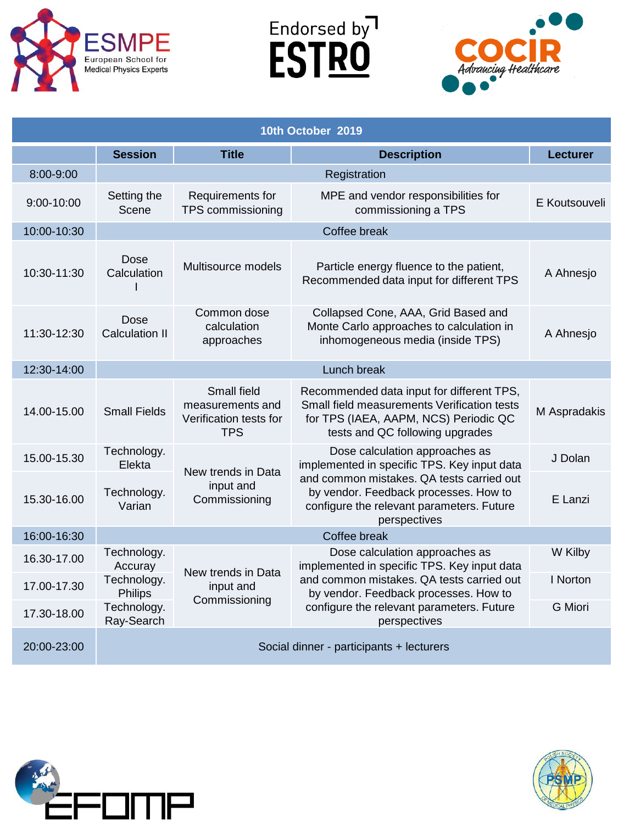

Endorsed by<sup>1</sup><br>**ESTRO** 



| 10th October 2019 |                           |                                                                         |                                                                                                                                                                                                                                  |                 |
|-------------------|---------------------------|-------------------------------------------------------------------------|----------------------------------------------------------------------------------------------------------------------------------------------------------------------------------------------------------------------------------|-----------------|
|                   | <b>Session</b>            | <b>Title</b>                                                            | <b>Description</b>                                                                                                                                                                                                               | <b>Lecturer</b> |
| 8:00-9:00         |                           | Registration                                                            |                                                                                                                                                                                                                                  |                 |
| $9:00 - 10:00$    | Setting the<br>Scene      | Requirements for<br>TPS commissioning                                   | MPE and vendor responsibilities for<br>commissioning a TPS                                                                                                                                                                       | E Koutsouveli   |
| 10:00-10:30       |                           |                                                                         | Coffee break                                                                                                                                                                                                                     |                 |
| 10:30-11:30       | Dose<br>Calculation       | Multisource models                                                      | Particle energy fluence to the patient,<br>Recommended data input for different TPS                                                                                                                                              | A Ahnesjo       |
| 11:30-12:30       | Dose<br>Calculation II    | Common dose<br>calculation<br>approaches                                | Collapsed Cone, AAA, Grid Based and<br>Monte Carlo approaches to calculation in<br>inhomogeneous media (inside TPS)                                                                                                              | A Ahnesjo       |
| 12:30-14:00       | Lunch break               |                                                                         |                                                                                                                                                                                                                                  |                 |
| 14.00-15.00       | <b>Small Fields</b>       | Small field<br>measurements and<br>Verification tests for<br><b>TPS</b> | Recommended data input for different TPS,<br>Small field measurements Verification tests<br>for TPS (IAEA, AAPM, NCS) Periodic QC<br>tests and QC following upgrades                                                             | M Aspradakis    |
| 15.00-15.30       | Technology.<br>Elekta     | New trends in Data<br>input and<br>Commissioning                        | Dose calculation approaches as<br>implemented in specific TPS. Key input data                                                                                                                                                    | J Dolan         |
| 15.30-16.00       | Technology.<br>Varian     |                                                                         | and common mistakes. QA tests carried out<br>by vendor. Feedback processes. How to<br>configure the relevant parameters. Future<br>perspectives                                                                                  | E Lanzi         |
| 16:00-16:30       |                           |                                                                         | Coffee break                                                                                                                                                                                                                     |                 |
| 16.30-17.00       | Technology.<br>Accuray    | New trends in Data                                                      | Dose calculation approaches as<br>implemented in specific TPS. Key input data<br>and common mistakes, QA tests carried out<br>by vendor. Feedback processes. How to<br>configure the relevant parameters. Future<br>perspectives | W Kilby         |
| 17.00-17.30       | Technology.<br>Philips    | input and                                                               |                                                                                                                                                                                                                                  | I Norton        |
| 17.30-18.00       | Technology.<br>Ray-Search | Commissioning                                                           |                                                                                                                                                                                                                                  | G Miori         |
| 20:00-23:00       |                           |                                                                         | Social dinner - participants + lecturers                                                                                                                                                                                         |                 |



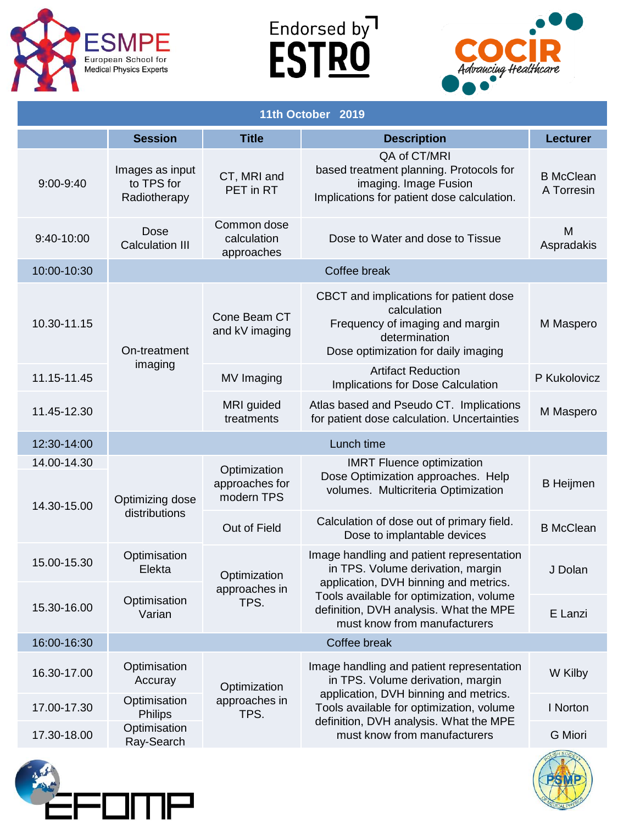





| 11th October 2019          |                                               |                                              |                                                                                                                                                                                                                                               |                                |
|----------------------------|-----------------------------------------------|----------------------------------------------|-----------------------------------------------------------------------------------------------------------------------------------------------------------------------------------------------------------------------------------------------|--------------------------------|
|                            | <b>Session</b>                                | <b>Title</b>                                 | <b>Description</b>                                                                                                                                                                                                                            | <b>Lecturer</b>                |
| 9:00-9:40                  | Images as input<br>to TPS for<br>Radiotherapy | CT, MRI and<br>PET in RT                     | QA of CT/MRI<br>based treatment planning. Protocols for<br>imaging. Image Fusion<br>Implications for patient dose calculation.                                                                                                                | <b>B</b> McClean<br>A Torresin |
| 9:40-10:00                 | Dose<br><b>Calculation III</b>                | Common dose<br>calculation<br>approaches     | Dose to Water and dose to Tissue                                                                                                                                                                                                              | M<br>Aspradakis                |
| 10:00-10:30                |                                               |                                              | Coffee break                                                                                                                                                                                                                                  |                                |
| 10.30-11.15                | On-treatment<br>imaging                       | Cone Beam CT<br>and kV imaging               | CBCT and implications for patient dose<br>calculation<br>Frequency of imaging and margin<br>determination<br>Dose optimization for daily imaging                                                                                              | M Maspero                      |
| 11.15-11.45                |                                               | MV Imaging                                   | <b>Artifact Reduction</b><br>Implications for Dose Calculation                                                                                                                                                                                | P Kukolovicz                   |
| 11.45-12.30                |                                               | MRI guided<br>treatments                     | Atlas based and Pseudo CT. Implications<br>for patient dose calculation. Uncertainties                                                                                                                                                        | M Maspero                      |
| 12:30-14:00                | Lunch time                                    |                                              |                                                                                                                                                                                                                                               |                                |
| 14.00-14.30<br>14.30-15.00 | Optimizing dose<br>distributions              | Optimization<br>approaches for<br>modern TPS | <b>IMRT Fluence optimization</b><br>Dose Optimization approaches. Help<br>volumes. Multicriteria Optimization                                                                                                                                 | <b>B</b> Heijmen               |
|                            |                                               | Out of Field                                 | Calculation of dose out of primary field.<br>Dose to implantable devices                                                                                                                                                                      | <b>B</b> McClean               |
| 15.00-15.30                | Optimisation<br>Elekta                        | Optimization<br>approaches in                | Image handling and patient representation<br>in TPS. Volume derivation, margin<br>application, DVH binning and metrics.<br>Tools available for optimization, volume<br>definition, DVH analysis. What the MPE<br>must know from manufacturers | J Dolan                        |
| 15.30-16.00                | Optimisation<br>Varian                        | TPS.                                         |                                                                                                                                                                                                                                               | E Lanzi                        |
| 16:00-16:30                |                                               |                                              | Coffee break                                                                                                                                                                                                                                  |                                |
| 16.30-17.00                | Optimisation<br>Accuray                       | Optimization<br>approaches in<br>TPS.        | Image handling and patient representation<br>in TPS. Volume derivation, margin<br>application, DVH binning and metrics.<br>Tools available for optimization, volume<br>definition, DVH analysis. What the MPE<br>must know from manufacturers | W Kilby                        |
| 17.00-17.30                | Optimisation<br><b>Philips</b>                |                                              |                                                                                                                                                                                                                                               | I Norton                       |
| 17.30-18.00                | Optimisation<br>Ray-Search                    |                                              |                                                                                                                                                                                                                                               | G Miori                        |
|                            |                                               |                                              |                                                                                                                                                                                                                                               |                                |

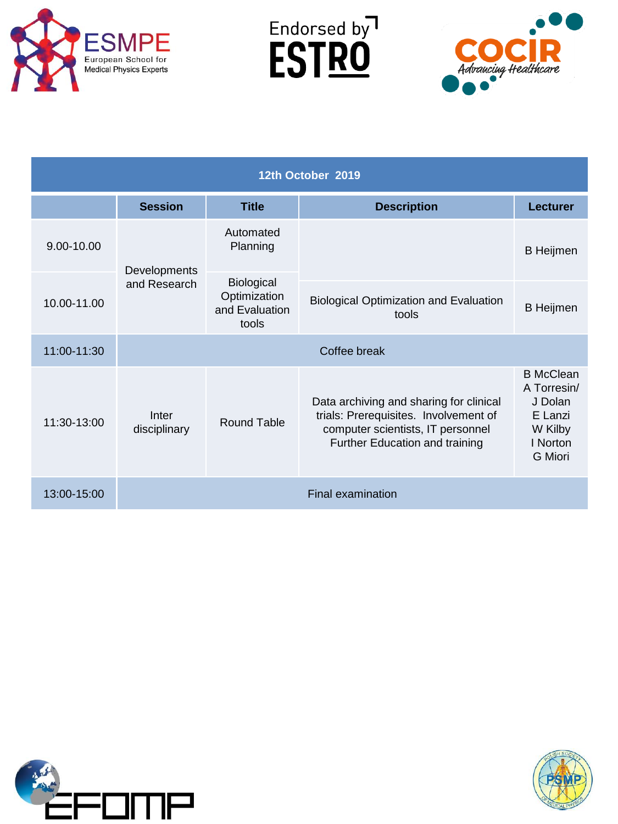

Endorsed by<sup>1</sup><br>**ESTRO** 



| 12th October 2019 |                              |                                                              |                                                                                                                                                         |                                                                                         |
|-------------------|------------------------------|--------------------------------------------------------------|---------------------------------------------------------------------------------------------------------------------------------------------------------|-----------------------------------------------------------------------------------------|
|                   | <b>Session</b>               | <b>Title</b>                                                 | <b>Description</b>                                                                                                                                      | <b>Lecturer</b>                                                                         |
| 9.00-10.00        | Developments<br>and Research | Automated<br>Planning                                        |                                                                                                                                                         | <b>B</b> Heijmen                                                                        |
| 10.00-11.00       |                              | <b>Biological</b><br>Optimization<br>and Evaluation<br>tools | <b>Biological Optimization and Evaluation</b><br>tools                                                                                                  | <b>B</b> Heijmen                                                                        |
| 11:00-11:30       | Coffee break                 |                                                              |                                                                                                                                                         |                                                                                         |
| 11:30-13:00       | Inter<br>disciplinary        | Round Table                                                  | Data archiving and sharing for clinical<br>trials: Prerequisites. Involvement of<br>computer scientists, IT personnel<br>Further Education and training | <b>B</b> McClean<br>A Torresin/<br>J Dolan<br>E Lanzi<br>W Kilby<br>I Norton<br>G Miori |
| 13:00-15:00       |                              |                                                              | Final examination                                                                                                                                       |                                                                                         |